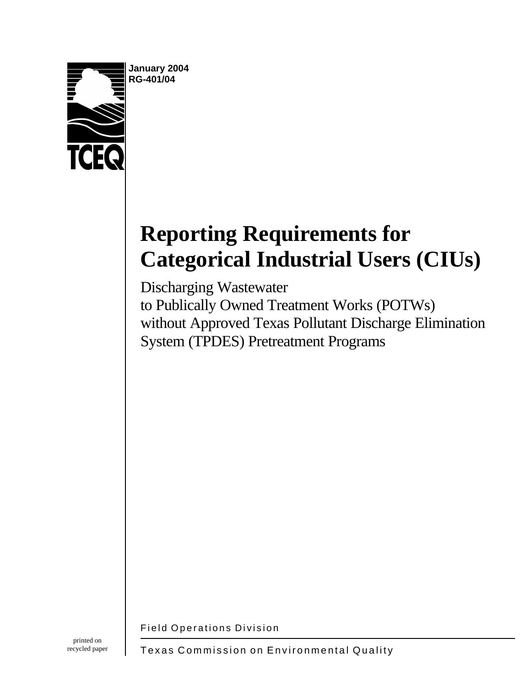

**January 2004 RG-401/04**

# **Reporting Requirements for Categorical Industrial Users (CIUs)**

Discharging Wastewater to Publically Owned Treatment Works (POTWs) without Approved Texas Pollutant Discharge Elimination System (TPDES) Pretreatment Programs

Field Operations Division

Texas Commission on Environmental Quality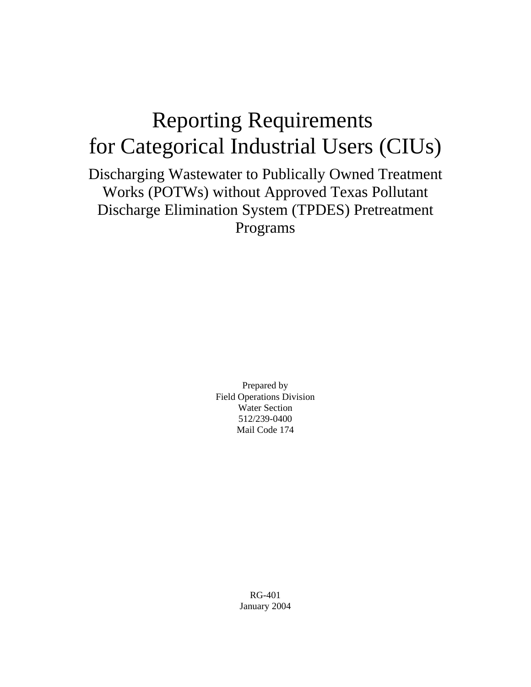# Reporting Requirements for Categorical Industrial Users (CIUs)

Discharging Wastewater to Publically Owned Treatment Works (POTWs) without Approved Texas Pollutant Discharge Elimination System (TPDES) Pretreatment Programs

> Prepared by Field Operations Division Water Section 512/239-0400 Mail Code 174

> > RG-401 January 2004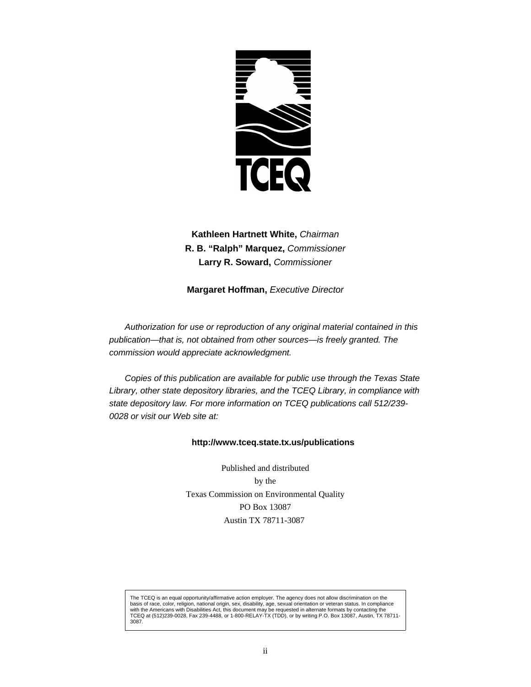

**Kathleen Hartnett White,** *Chairman* **R. B. "Ralph" Marquez,** *Commissioner* **Larry R. Soward,** *Commissioner*

**Margaret Hoffman,** *Executive Director*

*Authorization for use or reproduction of any original material contained in this publication—that is, not obtained from other sources—is freely granted. The commission would appreciate acknowledgment.*

*Copies of this publication are available for public use through the Texas State Library, other state depository libraries, and the TCEQ Library, in compliance with state depository law. For more information on TCEQ publications call 512/239- 0028 or visit our Web site at:*

#### **http://www.tceq.state.tx.us/publications**

Published and distributed by the Texas Commission on Environmental Quality PO Box 13087 Austin TX 78711-3087

The TCEQ is an equal opportunity/affirmative action employer. The agency does not allow discrimination on the basis of race, color, religion, national origin, sex, disability, age, sexual orientation or veteran status. In compliance<br>with the Americans with Disabilities Act, this document may be requested in alternate formats by co TCEQ at (512)239-0028, Fax 239-4488, or 1-800-RELAY-TX (TDD), or by writing P.O. Box 13087, Austin, TX 78711- 3087.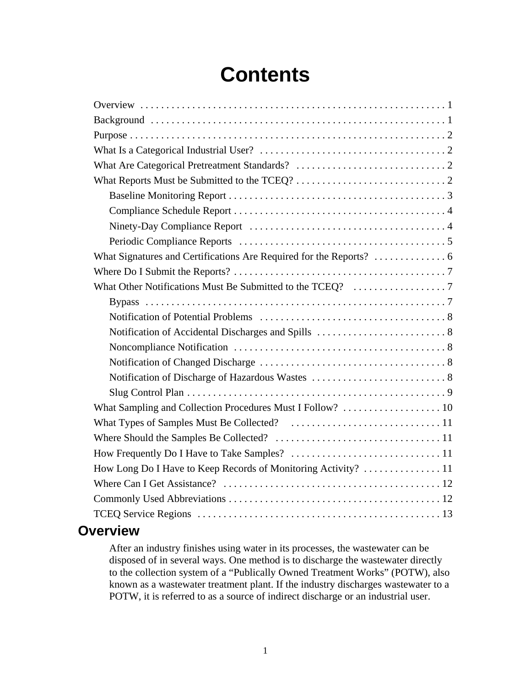# **Contents**

# **Overview**

After an industry finishes using water in its processes, the wastewater can be disposed of in several ways. One method is to discharge the wastewater directly to the collection system of a "Publically Owned Treatment Works" (POTW), also known as a wastewater treatment plant. If the industry discharges wastewater to a POTW, it is referred to as a source of indirect discharge or an industrial user.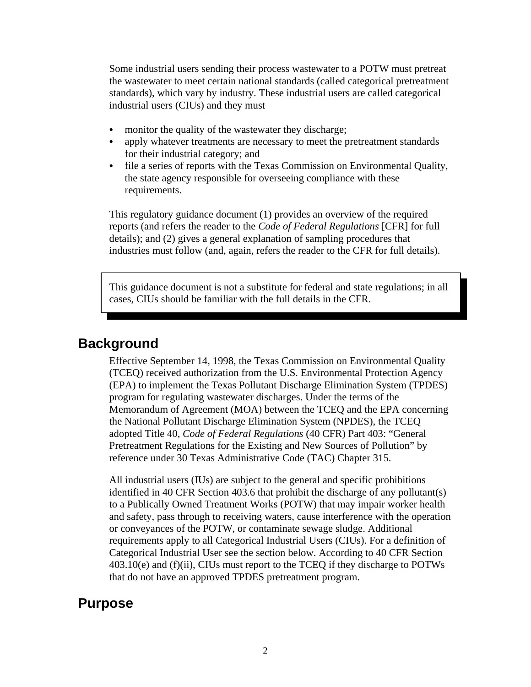Some industrial users sending their process wastewater to a POTW must pretreat the wastewater to meet certain national standards (called categorical pretreatment standards), which vary by industry. These industrial users are called categorical industrial users (CIUs) and they must

- monitor the quality of the wastewater they discharge;
- apply whatever treatments are necessary to meet the pretreatment standards for their industrial category; and
- file a series of reports with the Texas Commission on Environmental Quality, the state agency responsible for overseeing compliance with these requirements.

This regulatory guidance document (1) provides an overview of the required reports (and refers the reader to the *Code of Federal Regulations* [CFR] for full details); and (2) gives a general explanation of sampling procedures that industries must follow (and, again, refers the reader to the CFR for full details).

This guidance document is not a substitute for federal and state regulations; in all cases, CIUs should be familiar with the full details in the CFR.

## **Background**

Effective September 14, 1998, the Texas Commission on Environmental Quality (TCEQ) received authorization from the U.S. Environmental Protection Agency (EPA) to implement the Texas Pollutant Discharge Elimination System (TPDES) program for regulating wastewater discharges. Under the terms of the Memorandum of Agreement (MOA) between the TCEQ and the EPA concerning the National Pollutant Discharge Elimination System (NPDES), the TCEQ adopted Title 40, *Code of Federal Regulations* (40 CFR) Part 403: "General Pretreatment Regulations for the Existing and New Sources of Pollution" by reference under 30 Texas Administrative Code (TAC) Chapter 315.

All industrial users (IUs) are subject to the general and specific prohibitions identified in 40 CFR Section 403.6 that prohibit the discharge of any pollutant(s) to a Publically Owned Treatment Works (POTW) that may impair worker health and safety, pass through to receiving waters, cause interference with the operation or conveyances of the POTW, or contaminate sewage sludge. Additional requirements apply to all Categorical Industrial Users (CIUs). For a definition of Categorical Industrial User see the section below. According to 40 CFR Section 403.10(e) and (f)(ii), CIUs must report to the TCEQ if they discharge to POTWs that do not have an approved TPDES pretreatment program.

## **Purpose**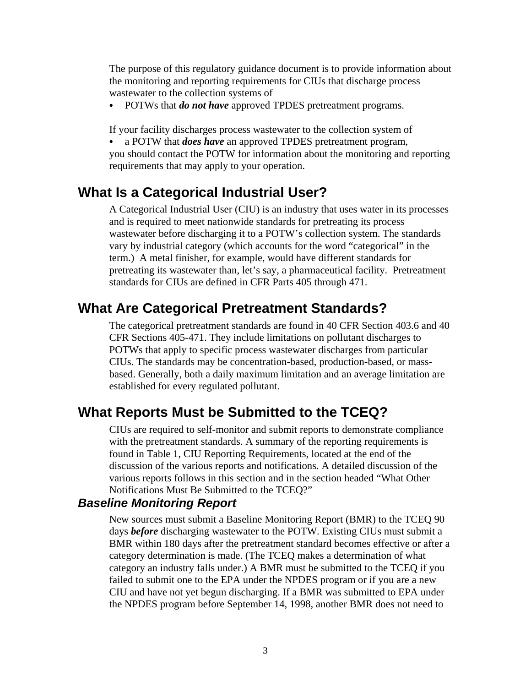The purpose of this regulatory guidance document is to provide information about the monitoring and reporting requirements for CIUs that discharge process wastewater to the collection systems of

• POTWs that *do not have* approved TPDES pretreatment programs.

If your facility discharges process wastewater to the collection system of

• a POTW that *does have* an approved TPDES pretreatment program, you should contact the POTW for information about the monitoring and reporting requirements that may apply to your operation.

# **What Is a Categorical Industrial User?**

A Categorical Industrial User (CIU) is an industry that uses water in its processes and is required to meet nationwide standards for pretreating its process wastewater before discharging it to a POTW's collection system. The standards vary by industrial category (which accounts for the word "categorical" in the term.) A metal finisher, for example, would have different standards for pretreating its wastewater than, let's say, a pharmaceutical facility. Pretreatment standards for CIUs are defined in CFR Parts 405 through 471.

## **What Are Categorical Pretreatment Standards?**

The categorical pretreatment standards are found in 40 CFR Section 403.6 and 40 CFR Sections 405-471. They include limitations on pollutant discharges to POTWs that apply to specific process wastewater discharges from particular CIUs. The standards may be concentration-based, production-based, or massbased. Generally, both a daily maximum limitation and an average limitation are established for every regulated pollutant.

# **What Reports Must be Submitted to the TCEQ?**

CIUs are required to self-monitor and submit reports to demonstrate compliance with the pretreatment standards. A summary of the reporting requirements is found in Table 1, CIU Reporting Requirements, located at the end of the discussion of the various reports and notifications. A detailed discussion of the various reports follows in this section and in the section headed "What Other Notifications Must Be Submitted to the TCEQ?"

#### *Baseline Monitoring Report*

New sources must submit a Baseline Monitoring Report (BMR) to the TCEQ 90 days *before* discharging wastewater to the POTW. Existing CIUs must submit a BMR within 180 days after the pretreatment standard becomes effective or after a category determination is made. (The TCEQ makes a determination of what category an industry falls under.) A BMR must be submitted to the TCEQ if you failed to submit one to the EPA under the NPDES program or if you are a new CIU and have not yet begun discharging. If a BMR was submitted to EPA under the NPDES program before September 14, 1998, another BMR does not need to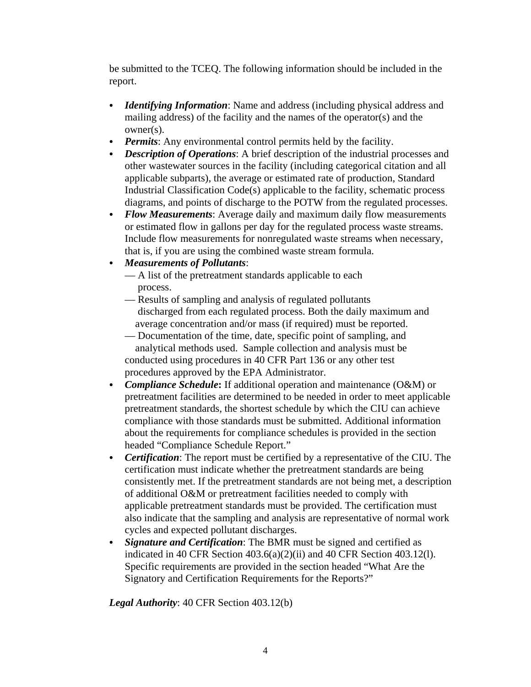be submitted to the TCEQ. The following information should be included in the report.

- *Identifying Information*: Name and address (including physical address and mailing address) of the facility and the names of the operator(s) and the owner(s).
- *Permits*: Any environmental control permits held by the facility.
- *Description of Operations*: A brief description of the industrial processes and other wastewater sources in the facility (including categorical citation and all applicable subparts), the average or estimated rate of production, Standard Industrial Classification Code(s) applicable to the facility, schematic process diagrams, and points of discharge to the POTW from the regulated processes.
- Flow Measurements: Average daily and maximum daily flow measurements or estimated flow in gallons per day for the regulated process waste streams. Include flow measurements for nonregulated waste streams when necessary, that is, if you are using the combined waste stream formula.
- C *Measurements of Pollutants*:
	- A list of the pretreatment standards applicable to each process.
	- Results of sampling and analysis of regulated pollutants discharged from each regulated process. Both the daily maximum and average concentration and/or mass (if required) must be reported.
	- Documentation of the time, date, specific point of sampling, and analytical methods used. Sample collection and analysis must be conducted using procedures in 40 CFR Part 136 or any other test procedures approved by the EPA Administrator.
- *Compliance Schedule*: If additional operation and maintenance (O&M) or pretreatment facilities are determined to be needed in order to meet applicable pretreatment standards, the shortest schedule by which the CIU can achieve compliance with those standards must be submitted. Additional information about the requirements for compliance schedules is provided in the section headed "Compliance Schedule Report."
- Certification: The report must be certified by a representative of the CIU. The certification must indicate whether the pretreatment standards are being consistently met. If the pretreatment standards are not being met, a description of additional O&M or pretreatment facilities needed to comply with applicable pretreatment standards must be provided. The certification must also indicate that the sampling and analysis are representative of normal work cycles and expected pollutant discharges.
- *Signature and Certification*: The BMR must be signed and certified as indicated in 40 CFR Section 403.6(a)(2)(ii) and 40 CFR Section 403.12(l). Specific requirements are provided in the section headed "What Are the Signatory and Certification Requirements for the Reports?"

*Legal Authority*: 40 CFR Section 403.12(b)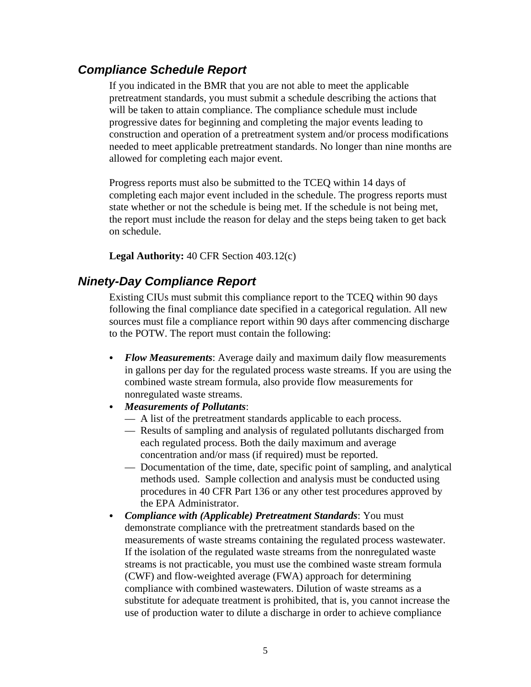## *Compliance Schedule Report*

If you indicated in the BMR that you are not able to meet the applicable pretreatment standards, you must submit a schedule describing the actions that will be taken to attain compliance. The compliance schedule must include progressive dates for beginning and completing the major events leading to construction and operation of a pretreatment system and/or process modifications needed to meet applicable pretreatment standards. No longer than nine months are allowed for completing each major event.

Progress reports must also be submitted to the TCEQ within 14 days of completing each major event included in the schedule. The progress reports must state whether or not the schedule is being met. If the schedule is not being met, the report must include the reason for delay and the steps being taken to get back on schedule.

**Legal Authority:** 40 CFR Section 403.12(c)

## *Ninety-Day Compliance Report*

Existing CIUs must submit this compliance report to the TCEQ within 90 days following the final compliance date specified in a categorical regulation. All new sources must file a compliance report within 90 days after commencing discharge to the POTW. The report must contain the following:

- Flow *Measurements*: Average daily and maximum daily flow measurements in gallons per day for the regulated process waste streams. If you are using the combined waste stream formula, also provide flow measurements for nonregulated waste streams.
- C *Measurements of Pollutants*:
	- A list of the pretreatment standards applicable to each process.
	- Results of sampling and analysis of regulated pollutants discharged from each regulated process. Both the daily maximum and average concentration and/or mass (if required) must be reported.
	- Documentation of the time, date, specific point of sampling, and analytical methods used. Sample collection and analysis must be conducted using procedures in 40 CFR Part 136 or any other test procedures approved by the EPA Administrator.
- Compliance with (Applicable) Pretreatment Standards: You must demonstrate compliance with the pretreatment standards based on the measurements of waste streams containing the regulated process wastewater. If the isolation of the regulated waste streams from the nonregulated waste streams is not practicable, you must use the combined waste stream formula (CWF) and flow-weighted average (FWA) approach for determining compliance with combined wastewaters. Dilution of waste streams as a substitute for adequate treatment is prohibited, that is, you cannot increase the use of production water to dilute a discharge in order to achieve compliance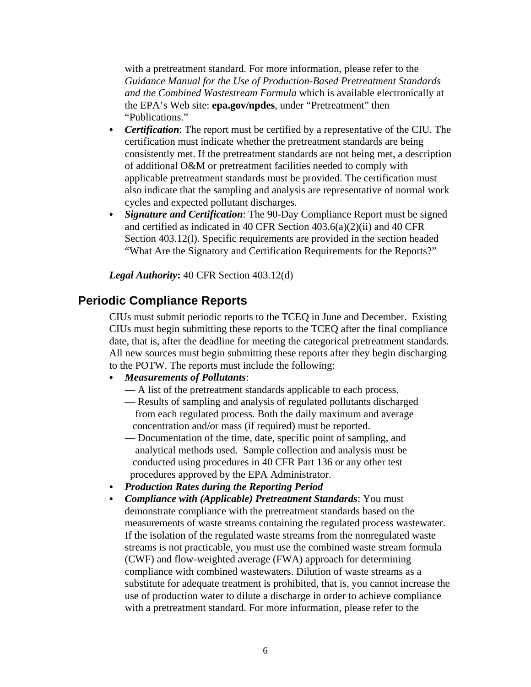with a pretreatment standard. For more information, please refer to the *Guidance Manual for the Use of Production-Based Pretreatment Standards and the Combined Wastestream Formula* which is available electronically at the EPA's Web site: **epa.gov/npdes**, under "Pretreatment" then "Publications."

- *Certification*: The report must be certified by a representative of the CIU. The certification must indicate whether the pretreatment standards are being consistently met. If the pretreatment standards are not being met, a description of additional O&M or pretreatment facilities needed to comply with applicable pretreatment standards must be provided. The certification must also indicate that the sampling and analysis are representative of normal work cycles and expected pollutant discharges.
- Signature and Certification: The 90-Day Compliance Report must be signed and certified as indicated in 40 CFR Section 403.6(a)(2)(ii) and 40 CFR Section 403.12(l). Specific requirements are provided in the section headed "What Are the Signatory and Certification Requirements for the Reports?"

*Legal Authority***:** 40 CFR Section 403.12(d)

#### **Periodic Compliance Reports**

CIUs must submit periodic reports to the TCEQ in June and December. Existing CIUs must begin submitting these reports to the TCEQ after the final compliance date, that is, after the deadline for meeting the categorical pretreatment standards. All new sources must begin submitting these reports after they begin discharging to the POTW. The reports must include the following:

- C *Measurements of Pollutants*:
	- A list of the pretreatment standards applicable to each process.
	- Results of sampling and analysis of regulated pollutants discharged from each regulated process. Both the daily maximum and average concentration and/or mass (if required) must be reported.
	- Documentation of the time, date, specific point of sampling, and analytical methods used. Sample collection and analysis must be conducted using procedures in 40 CFR Part 136 or any other test procedures approved by the EPA Administrator.
- C *Production Rates during the Reporting Period*
- Compliance with (Applicable) Pretreatment Standards: You must demonstrate compliance with the pretreatment standards based on the measurements of waste streams containing the regulated process wastewater. If the isolation of the regulated waste streams from the nonregulated waste streams is not practicable, you must use the combined waste stream formula (CWF) and flow-weighted average (FWA) approach for determining compliance with combined wastewaters. Dilution of waste streams as a substitute for adequate treatment is prohibited, that is, you cannot increase the use of production water to dilute a discharge in order to achieve compliance with a pretreatment standard. For more information, please refer to the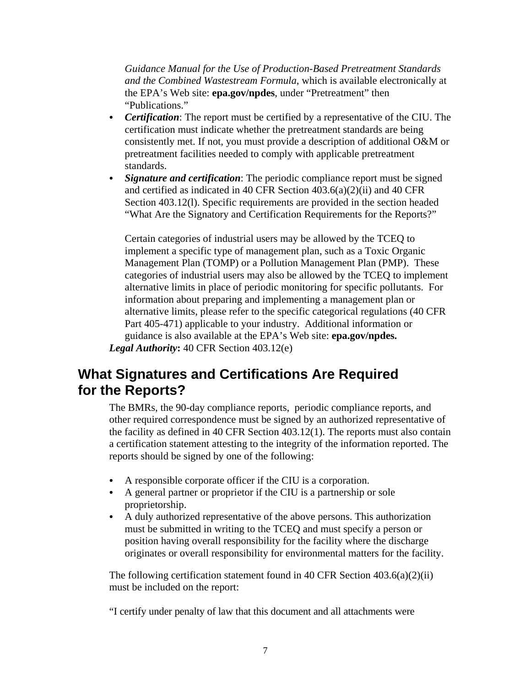*Guidance Manual for the Use of Production-Based Pretreatment Standards and the Combined Wastestream Formula*, which is available electronically at the EPA's Web site: **epa.gov/npdes**, under "Pretreatment" then "Publications."

- *Certification*: The report must be certified by a representative of the CIU. The certification must indicate whether the pretreatment standards are being consistently met. If not, you must provide a description of additional O&M or pretreatment facilities needed to comply with applicable pretreatment standards.
- *Signature and certification*: The periodic compliance report must be signed and certified as indicated in 40 CFR Section 403.6(a)(2)(ii) and 40 CFR Section 403.12(l). Specific requirements are provided in the section headed "What Are the Signatory and Certification Requirements for the Reports?"

Certain categories of industrial users may be allowed by the TCEQ to implement a specific type of management plan, such as a Toxic Organic Management Plan (TOMP) or a Pollution Management Plan (PMP). These categories of industrial users may also be allowed by the TCEQ to implement alternative limits in place of periodic monitoring for specific pollutants. For information about preparing and implementing a management plan or alternative limits, please refer to the specific categorical regulations (40 CFR Part 405-471) applicable to your industry. Additional information or guidance is also available at the EPA's Web site: **epa.gov/npdes.** *Legal Authority***:** 40 CFR Section 403.12(e)

# **What Signatures and Certifications Are Required for the Reports?**

The BMRs, the 90-day compliance reports, periodic compliance reports, and other required correspondence must be signed by an authorized representative of the facility as defined in 40 CFR Section 403.12(1). The reports must also contain a certification statement attesting to the integrity of the information reported. The reports should be signed by one of the following:

- $\bullet$  A responsible corporate officer if the CIU is a corporation.
- A general partner or proprietor if the CIU is a partnership or sole proprietorship.
- A duly authorized representative of the above persons. This authorization must be submitted in writing to the TCEQ and must specify a person or position having overall responsibility for the facility where the discharge originates or overall responsibility for environmental matters for the facility.

The following certification statement found in 40 CFR Section 403.6(a)(2)(ii) must be included on the report:

"I certify under penalty of law that this document and all attachments were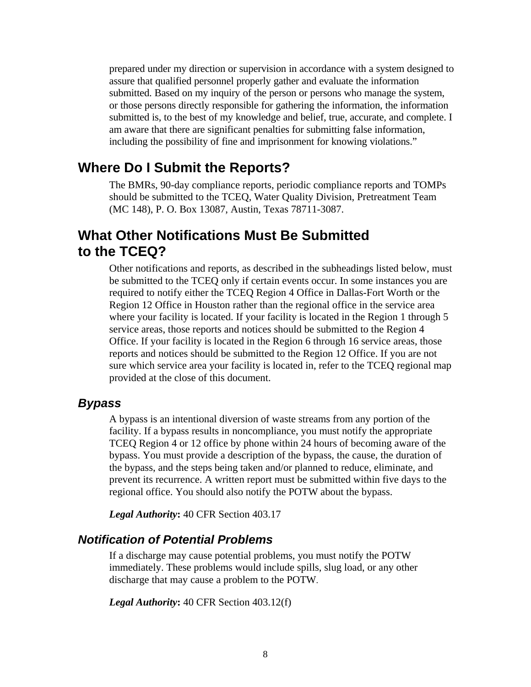prepared under my direction or supervision in accordance with a system designed to assure that qualified personnel properly gather and evaluate the information submitted. Based on my inquiry of the person or persons who manage the system, or those persons directly responsible for gathering the information, the information submitted is, to the best of my knowledge and belief, true, accurate, and complete. I am aware that there are significant penalties for submitting false information, including the possibility of fine and imprisonment for knowing violations."

## **Where Do I Submit the Reports?**

The BMRs, 90-day compliance reports, periodic compliance reports and TOMPs should be submitted to the TCEQ, Water Quality Division, Pretreatment Team (MC 148), P. O. Box 13087, Austin, Texas 78711-3087.

# **What Other Notifications Must Be Submitted to the TCEQ?**

Other notifications and reports, as described in the subheadings listed below, must be submitted to the TCEQ only if certain events occur. In some instances you are required to notify either the TCEQ Region 4 Office in Dallas-Fort Worth or the Region 12 Office in Houston rather than the regional office in the service area where your facility is located. If your facility is located in the Region 1 through 5 service areas, those reports and notices should be submitted to the Region 4 Office. If your facility is located in the Region 6 through 16 service areas, those reports and notices should be submitted to the Region 12 Office. If you are not sure which service area your facility is located in, refer to the TCEQ regional map provided at the close of this document.

#### *Bypass*

A bypass is an intentional diversion of waste streams from any portion of the facility. If a bypass results in noncompliance, you must notify the appropriate TCEQ Region 4 or 12 office by phone within 24 hours of becoming aware of the bypass. You must provide a description of the bypass, the cause, the duration of the bypass, and the steps being taken and/or planned to reduce, eliminate, and prevent its recurrence. A written report must be submitted within five days to the regional office. You should also notify the POTW about the bypass.

*Legal Authority***:** 40 CFR Section 403.17

#### *Notification of Potential Problems*

If a discharge may cause potential problems, you must notify the POTW immediately. These problems would include spills, slug load, or any other discharge that may cause a problem to the POTW.

*Legal Authority***:** 40 CFR Section 403.12(f)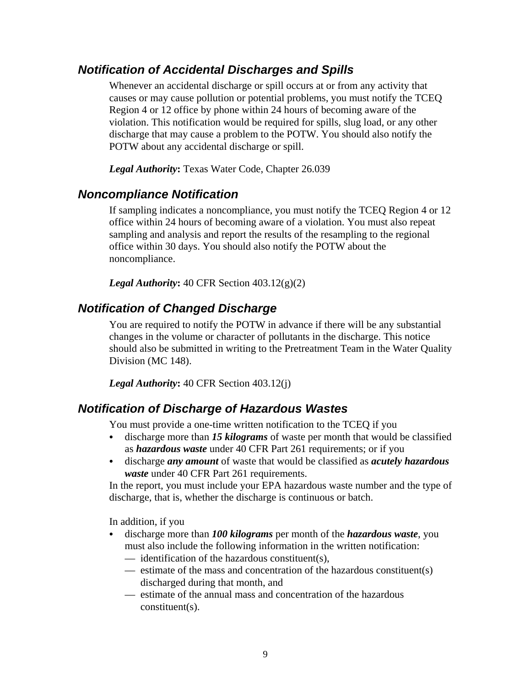## *Notification of Accidental Discharges and Spills*

Whenever an accidental discharge or spill occurs at or from any activity that causes or may cause pollution or potential problems, you must notify the TCEQ Region 4 or 12 office by phone within 24 hours of becoming aware of the violation. This notification would be required for spills, slug load, or any other discharge that may cause a problem to the POTW. You should also notify the POTW about any accidental discharge or spill.

*Legal Authority***:** Texas Water Code, Chapter 26.039

### *Noncompliance Notification*

If sampling indicates a noncompliance, you must notify the TCEQ Region 4 or 12 office within 24 hours of becoming aware of a violation. You must also repeat sampling and analysis and report the results of the resampling to the regional office within 30 days. You should also notify the POTW about the noncompliance.

*Legal Authority***:** 40 CFR Section 403.12(g)(2)

## *Notification of Changed Discharge*

You are required to notify the POTW in advance if there will be any substantial changes in the volume or character of pollutants in the discharge. This notice should also be submitted in writing to the Pretreatment Team in the Water Quality Division (MC 148).

*Legal Authority***:** 40 CFR Section 403.12(j)

## *Notification of Discharge of Hazardous Wastes*

You must provide a one-time written notification to the TCEQ if you

- discharge more than **15 kilograms** of waste per month that would be classified as *hazardous waste* under 40 CFR Part 261 requirements; or if you
- C discharge *any amount* of waste that would be classified as *acutely hazardous waste* under 40 CFR Part 261 requirements.

In the report, you must include your EPA hazardous waste number and the type of discharge, that is, whether the discharge is continuous or batch.

In addition, if you

- discharge more than *100 kilograms* per month of the *hazardous waste*, you must also include the following information in the written notification:
	- identification of the hazardous constituent(s),
	- estimate of the mass and concentration of the hazardous constituent(s) discharged during that month, and
	- estimate of the annual mass and concentration of the hazardous constituent(s).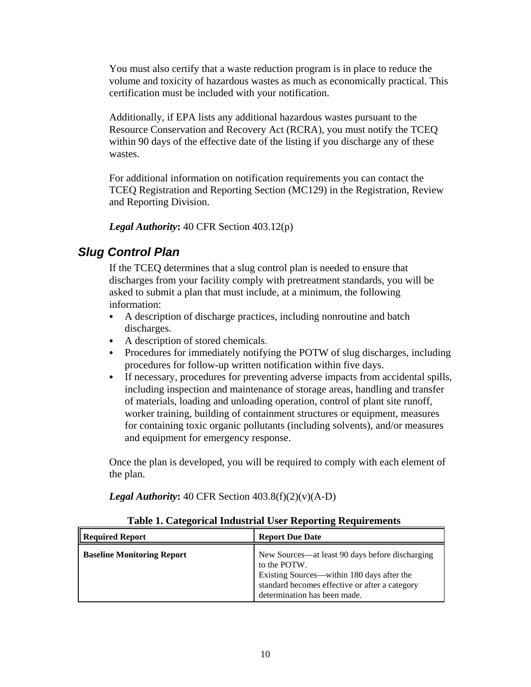You must also certify that a waste reduction program is in place to reduce the volume and toxicity of hazardous wastes as much as economically practical. This certification must be included with your notification.

Additionally, if EPA lists any additional hazardous wastes pursuant to the Resource Conservation and Recovery Act (RCRA), you must notify the TCEQ within 90 days of the effective date of the listing if you discharge any of these wastes.

For additional information on notification requirements you can contact the TCEQ Registration and Reporting Section (MC129) in the Registration, Review and Reporting Division.

*Legal Authority***:** 40 CFR Section 403.12(p)

## *Slug Control Plan*

If the TCEQ determines that a slug control plan is needed to ensure that discharges from your facility comply with pretreatment standards, you will be asked to submit a plan that must include, at a minimum, the following information:

- A description of discharge practices, including nonroutine and batch discharges.
- A description of stored chemicals.
- Procedures for immediately notifying the POTW of slug discharges, including procedures for follow-up written notification within five days.
- If necessary, procedures for preventing adverse impacts from accidental spills, including inspection and maintenance of storage areas, handling and transfer of materials, loading and unloading operation, control of plant site runoff, worker training, building of containment structures or equipment, measures for containing toxic organic pollutants (including solvents), and/or measures and equipment for emergency response.

Once the plan is developed, you will be required to comply with each element of the plan.

*Legal Authority***:** 40 CFR Section 403.8(f)(2)(v)(A-D)

| <b>Table 1. Categorical Industrial User Reporting Requirements</b> |  |
|--------------------------------------------------------------------|--|
|--------------------------------------------------------------------|--|

| <b>Required Report</b>            | <b>Report Due Date</b>                                                                                                                                                                          |
|-----------------------------------|-------------------------------------------------------------------------------------------------------------------------------------------------------------------------------------------------|
| <b>Baseline Monitoring Report</b> | New Sources—at least 90 days before discharging<br>to the POTW.<br>Existing Sources—within 180 days after the<br>standard becomes effective or after a category<br>determination has been made. |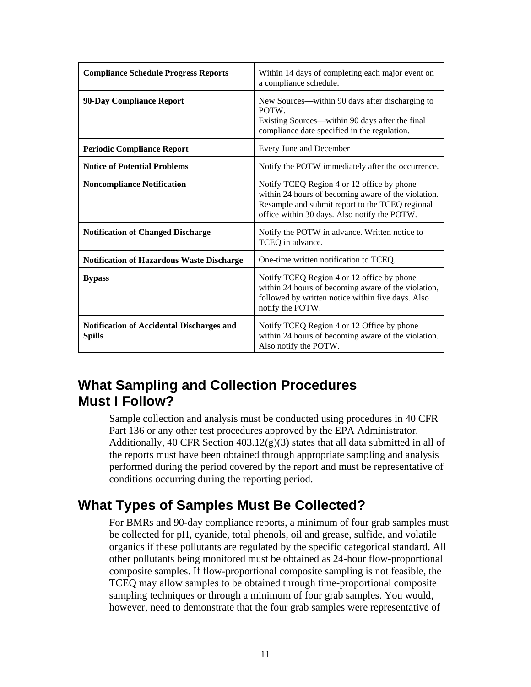| <b>Compliance Schedule Progress Reports</b>                       | Within 14 days of completing each major event on<br>a compliance schedule.                                                                                                                           |
|-------------------------------------------------------------------|------------------------------------------------------------------------------------------------------------------------------------------------------------------------------------------------------|
| 90-Day Compliance Report                                          | New Sources—within 90 days after discharging to<br>POTW.<br>Existing Sources—within 90 days after the final<br>compliance date specified in the regulation.                                          |
| <b>Periodic Compliance Report</b>                                 | Every June and December                                                                                                                                                                              |
| <b>Notice of Potential Problems</b>                               | Notify the POTW immediately after the occurrence.                                                                                                                                                    |
| <b>Noncompliance Notification</b>                                 | Notify TCEQ Region 4 or 12 office by phone<br>within 24 hours of becoming aware of the violation.<br>Resample and submit report to the TCEQ regional<br>office within 30 days. Also notify the POTW. |
| <b>Notification of Changed Discharge</b>                          | Notify the POTW in advance. Written notice to<br>TCEQ in advance.                                                                                                                                    |
| <b>Notification of Hazardous Waste Discharge</b>                  | One-time written notification to TCEQ.                                                                                                                                                               |
| <b>Bypass</b>                                                     | Notify TCEQ Region 4 or 12 office by phone<br>within 24 hours of becoming aware of the violation,<br>followed by written notice within five days. Also<br>notify the POTW.                           |
| <b>Notification of Accidental Discharges and</b><br><b>Spills</b> | Notify TCEQ Region 4 or 12 Office by phone<br>within 24 hours of becoming aware of the violation.<br>Also notify the POTW.                                                                           |

# **What Sampling and Collection Procedures Must I Follow?**

Sample collection and analysis must be conducted using procedures in 40 CFR Part 136 or any other test procedures approved by the EPA Administrator. Additionally, 40 CFR Section  $403.12(g)(3)$  states that all data submitted in all of the reports must have been obtained through appropriate sampling and analysis performed during the period covered by the report and must be representative of conditions occurring during the reporting period.

# **What Types of Samples Must Be Collected?**

For BMRs and 90-day compliance reports, a minimum of four grab samples must be collected for pH, cyanide, total phenols, oil and grease, sulfide, and volatile organics if these pollutants are regulated by the specific categorical standard. All other pollutants being monitored must be obtained as 24-hour flow-proportional composite samples. If flow-proportional composite sampling is not feasible, the TCEQ may allow samples to be obtained through time-proportional composite sampling techniques or through a minimum of four grab samples. You would, however, need to demonstrate that the four grab samples were representative of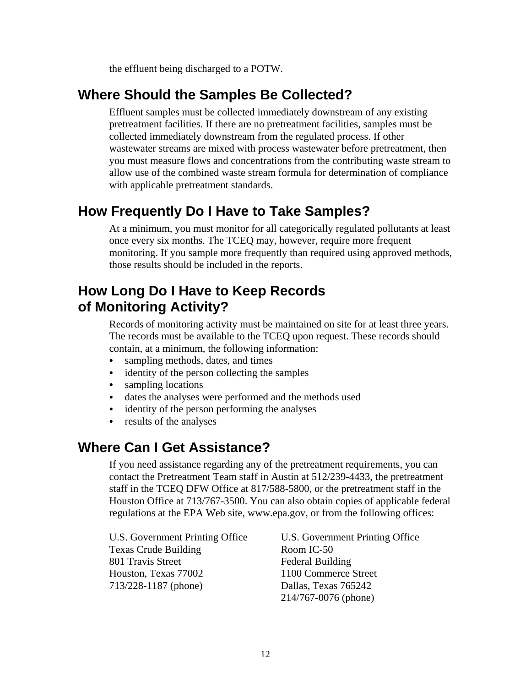the effluent being discharged to a POTW.

# **Where Should the Samples Be Collected?**

Effluent samples must be collected immediately downstream of any existing pretreatment facilities. If there are no pretreatment facilities, samples must be collected immediately downstream from the regulated process. If other wastewater streams are mixed with process wastewater before pretreatment, then you must measure flows and concentrations from the contributing waste stream to allow use of the combined waste stream formula for determination of compliance with applicable pretreatment standards.

# **How Frequently Do I Have to Take Samples?**

At a minimum, you must monitor for all categorically regulated pollutants at least once every six months. The TCEQ may, however, require more frequent monitoring. If you sample more frequently than required using approved methods, those results should be included in the reports.

# **How Long Do I Have to Keep Records of Monitoring Activity?**

Records of monitoring activity must be maintained on site for at least three years. The records must be available to the TCEQ upon request. These records should contain, at a minimum, the following information:

- sampling methods, dates, and times
- $\bullet$  identity of the person collecting the samples
- sampling locations
- dates the analyses were performed and the methods used
- identity of the person performing the analyses
- results of the analyses

# **Where Can I Get Assistance?**

If you need assistance regarding any of the pretreatment requirements, you can contact the Pretreatment Team staff in Austin at 512/239-4433, the pretreatment staff in the TCEQ DFW Office at 817/588-5800, or the pretreatment staff in the Houston Office at 713/767-3500. You can also obtain copies of applicable federal regulations at the EPA Web site, www.epa.gov, or from the following offices:

Texas Crude Building Room IC-50 801 Travis Street Federal Building Houston, Texas 77002 1100 Commerce Street 713/228-1187 (phone) Dallas, Texas 765242

U.S. Government Printing Office U.S. Government Printing Office 214/767-0076 (phone)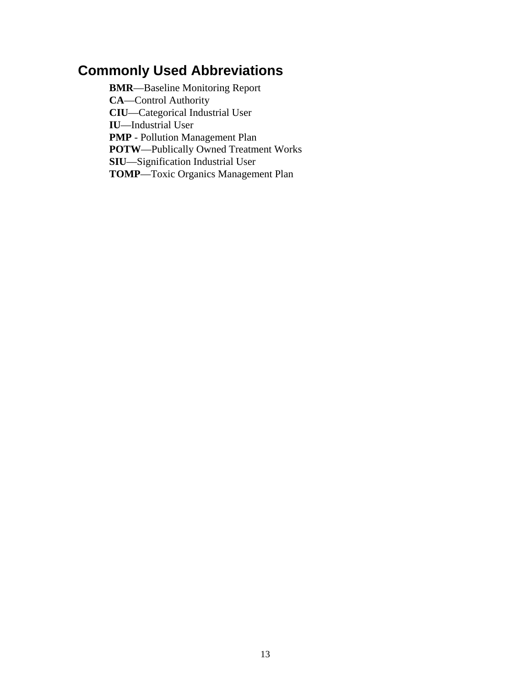# **Commonly Used Abbreviations**

**BMR**—Baseline Monitoring Report **CA**—Control Authority **CIU**—Categorical Industrial User **IU**—Industrial User **PMP** - Pollution Management Plan **POTW**—Publically Owned Treatment Works **SIU**—Signification Industrial User **TOMP**—Toxic Organics Management Plan